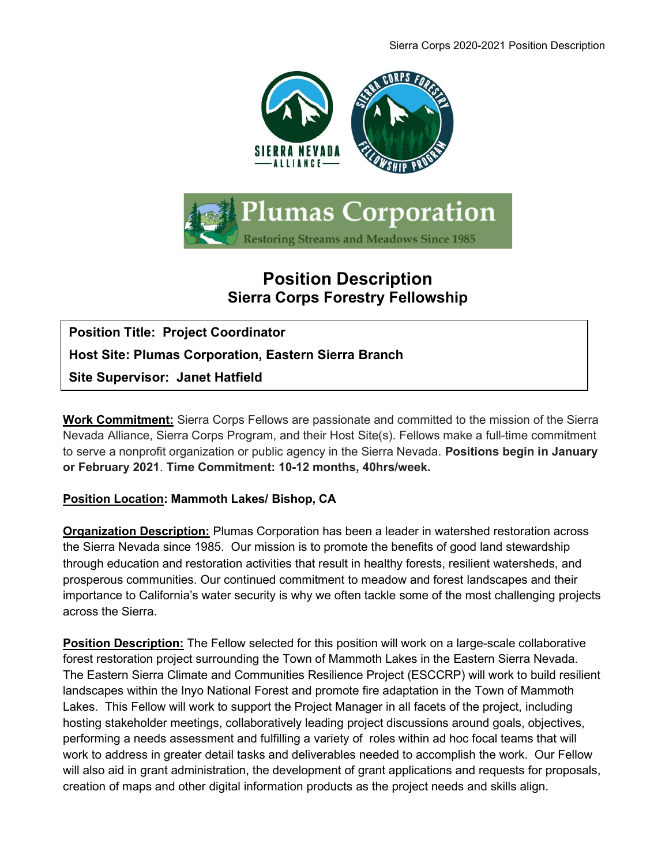

## Position Description Sierra Corps Forestry Fellowship

Position Title: Project Coordinator Host Site: Plumas Corporation, Eastern Sierra Branch Site Supervisor: Janet Hatfield

Work Commitment: Sierra Corps Fellows are passionate and committed to the mission of the Sierra Nevada Alliance, Sierra Corps Program, and their Host Site(s). Fellows make a full-time commitment to serve a nonprofit organization or public agency in the Sierra Nevada. Positions begin in January or February 2021. Time Commitment: 10-12 months, 40hrs/week.

## Position Location: Mammoth Lakes/ Bishop, CA

Organization Description: Plumas Corporation has been a leader in watershed restoration across the Sierra Nevada since 1985. Our mission is to promote the benefits of good land stewardship through education and restoration activities that result in healthy forests, resilient watersheds, and prosperous communities. Our continued commitment to meadow and forest landscapes and their importance to California's water security is why we often tackle some of the most challenging projects across the Sierra.

Position Description: The Fellow selected for this position will work on a large-scale collaborative forest restoration project surrounding the Town of Mammoth Lakes in the Eastern Sierra Nevada. The Eastern Sierra Climate and Communities Resilience Project (ESCCRP) will work to build resilient landscapes within the Inyo National Forest and promote fire adaptation in the Town of Mammoth Lakes. This Fellow will work to support the Project Manager in all facets of the project, including hosting stakeholder meetings, collaboratively leading project discussions around goals, objectives, performing a needs assessment and fulfilling a variety of roles within ad hoc focal teams that will work to address in greater detail tasks and deliverables needed to accomplish the work. Our Fellow will also aid in grant administration, the development of grant applications and requests for proposals, creation of maps and other digital information products as the project needs and skills align.